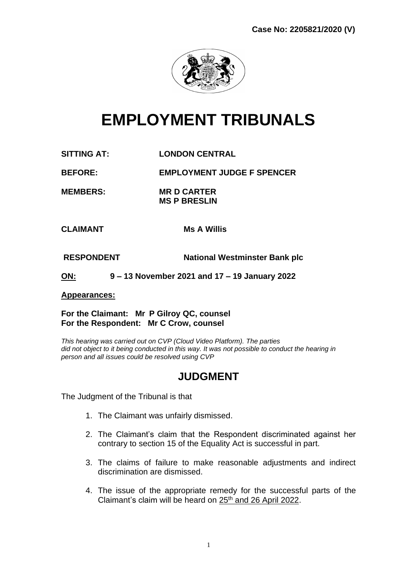

# **EMPLOYMENT TRIBUNALS**

**SITTING AT: LONDON CENTRAL**

**BEFORE: EMPLOYMENT JUDGE F SPENCER**

**MEMBERS: MR D CARTER MS P BRESLIN**

**CLAIMANT Ms A Willis** 

**RESPONDENT National Westminster Bank plc**

**ON: 9 – 13 November 2021 and 17 – 19 January 2022**

#### **Appearances:**

**For the Claimant: Mr P Gilroy QC, counsel For the Respondent: Mr C Crow, counsel**

*This hearing was carried out on CVP (Cloud Video Platform). The parties did not object to it being conducted in this way. It was not possible to conduct the hearing in person and all issues could be resolved using CVP*

# **JUDGMENT**

The Judgment of the Tribunal is that

- 1. The Claimant was unfairly dismissed.
- 2. The Claimant's claim that the Respondent discriminated against her contrary to section 15 of the Equality Act is successful in part.
- 3. The claims of failure to make reasonable adjustments and indirect discrimination are dismissed.
- 4. The issue of the appropriate remedy for the successful parts of the Claimant's claim will be heard on 25<sup>th</sup> and 26 April 2022.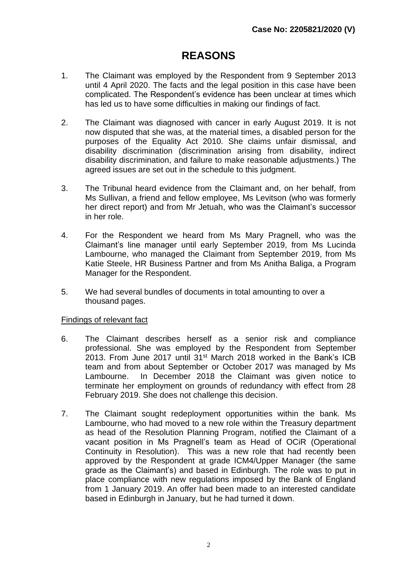# **REASONS**

- 1. The Claimant was employed by the Respondent from 9 September 2013 until 4 April 2020. The facts and the legal position in this case have been complicated. The Respondent's evidence has been unclear at times which has led us to have some difficulties in making our findings of fact.
- 2. The Claimant was diagnosed with cancer in early August 2019. It is not now disputed that she was, at the material times, a disabled person for the purposes of the Equality Act 2010. She claims unfair dismissal, and disability discrimination (discrimination arising from disability, indirect disability discrimination, and failure to make reasonable adjustments.) The agreed issues are set out in the schedule to this judgment.
- 3. The Tribunal heard evidence from the Claimant and, on her behalf, from Ms Sullivan, a friend and fellow employee, Ms Levitson (who was formerly her direct report) and from Mr Jetuah, who was the Claimant's successor in her role.
- 4. For the Respondent we heard from Ms Mary Pragnell, who was the Claimant's line manager until early September 2019, from Ms Lucinda Lambourne, who managed the Claimant from September 2019, from Ms Katie Steele, HR Business Partner and from Ms Anitha Baliga, a Program Manager for the Respondent.
- 5. We had several bundles of documents in total amounting to over a thousand pages.

#### Findings of relevant fact

- 6. The Claimant describes herself as a senior risk and compliance professional. She was employed by the Respondent from September 2013. From June 2017 until 31<sup>st</sup> March 2018 worked in the Bank's ICB team and from about September or October 2017 was managed by Ms Lambourne. In December 2018 the Claimant was given notice to terminate her employment on grounds of redundancy with effect from 28 February 2019. She does not challenge this decision.
- 7. The Claimant sought redeployment opportunities within the bank. Ms Lambourne, who had moved to a new role within the Treasury department as head of the Resolution Planning Program, notified the Claimant of a vacant position in Ms Pragnell's team as Head of OCiR (Operational Continuity in Resolution). This was a new role that had recently been approved by the Respondent at grade ICM4/Upper Manager (the same grade as the Claimant's) and based in Edinburgh. The role was to put in place compliance with new regulations imposed by the Bank of England from 1 January 2019. An offer had been made to an interested candidate based in Edinburgh in January, but he had turned it down.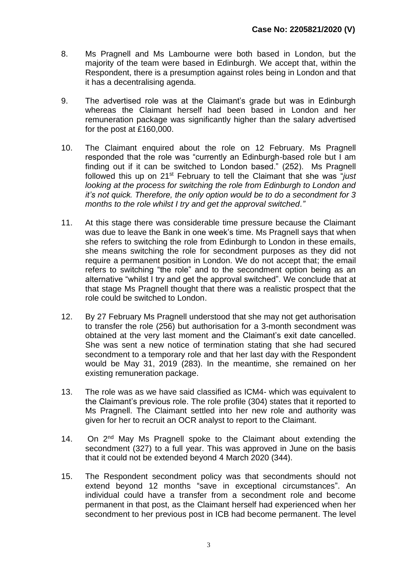- 8. Ms Pragnell and Ms Lambourne were both based in London, but the majority of the team were based in Edinburgh. We accept that, within the Respondent, there is a presumption against roles being in London and that it has a decentralising agenda.
- 9. The advertised role was at the Claimant's grade but was in Edinburgh whereas the Claimant herself had been based in London and her remuneration package was significantly higher than the salary advertised for the post at £160,000.
- 10. The Claimant enquired about the role on 12 February. Ms Pragnell responded that the role was "currently an Edinburgh-based role but I am finding out if it can be switched to London based." (252). Ms Pragnell followed this up on 21st February to tell the Claimant that she was "*just looking at the process for switching the role from Edinburgh to London and it's not quick. Therefore, the only option would be to do a secondment for 3 months to the role whilst I try and get the approval switched."*
- 11. At this stage there was considerable time pressure because the Claimant was due to leave the Bank in one week's time. Ms Pragnell says that when she refers to switching the role from Edinburgh to London in these emails, she means switching the role for secondment purposes as they did not require a permanent position in London. We do not accept that; the email refers to switching "the role" and to the secondment option being as an alternative "whilst I try and get the approval switched". We conclude that at that stage Ms Pragnell thought that there was a realistic prospect that the role could be switched to London.
- 12. By 27 February Ms Pragnell understood that she may not get authorisation to transfer the role (256) but authorisation for a 3-month secondment was obtained at the very last moment and the Claimant's exit date cancelled. She was sent a new notice of termination stating that she had secured secondment to a temporary role and that her last day with the Respondent would be May 31, 2019 (283). In the meantime, she remained on her existing remuneration package.
- 13. The role was as we have said classified as ICM4- which was equivalent to the Claimant's previous role. The role profile (304) states that it reported to Ms Pragnell. The Claimant settled into her new role and authority was given for her to recruit an OCR analyst to report to the Claimant.
- 14. On 2<sup>nd</sup> May Ms Pragnell spoke to the Claimant about extending the secondment (327) to a full year. This was approved in June on the basis that it could not be extended beyond 4 March 2020 (344).
- 15. The Respondent secondment policy was that secondments should not extend beyond 12 months "save in exceptional circumstances". An individual could have a transfer from a secondment role and become permanent in that post, as the Claimant herself had experienced when her secondment to her previous post in ICB had become permanent. The level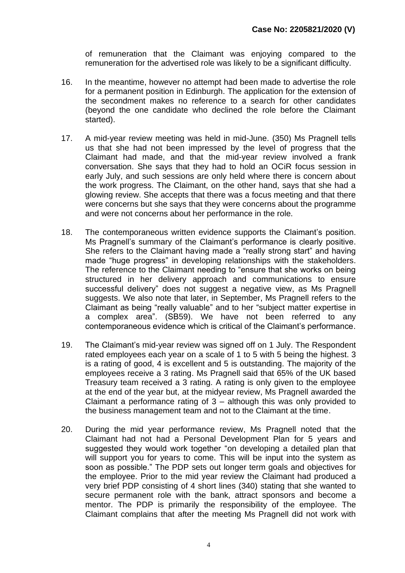of remuneration that the Claimant was enjoying compared to the remuneration for the advertised role was likely to be a significant difficulty.

- 16. In the meantime, however no attempt had been made to advertise the role for a permanent position in Edinburgh. The application for the extension of the secondment makes no reference to a search for other candidates (beyond the one candidate who declined the role before the Claimant started).
- 17. A mid-year review meeting was held in mid-June. (350) Ms Pragnell tells us that she had not been impressed by the level of progress that the Claimant had made, and that the mid-year review involved a frank conversation. She says that they had to hold an OCiR focus session in early July, and such sessions are only held where there is concern about the work progress. The Claimant, on the other hand, says that she had a glowing review. She accepts that there was a focus meeting and that there were concerns but she says that they were concerns about the programme and were not concerns about her performance in the role.
- 18. The contemporaneous written evidence supports the Claimant's position. Ms Pragnell's summary of the Claimant's performance is clearly positive. She refers to the Claimant having made a "really strong start" and having made "huge progress" in developing relationships with the stakeholders. The reference to the Claimant needing to "ensure that she works on being structured in her delivery approach and communications to ensure successful delivery" does not suggest a negative view, as Ms Pragnell suggests. We also note that later, in September, Ms Pragnell refers to the Claimant as being "really valuable" and to her "subject matter expertise in a complex area". (SB59). We have not been referred to any contemporaneous evidence which is critical of the Claimant's performance.
- 19. The Claimant's mid-year review was signed off on 1 July. The Respondent rated employees each year on a scale of 1 to 5 with 5 being the highest. 3 is a rating of good, 4 is excellent and 5 is outstanding. The majority of the employees receive a 3 rating. Ms Pragnell said that 65% of the UK based Treasury team received a 3 rating. A rating is only given to the employee at the end of the year but, at the midyear review, Ms Pragnell awarded the Claimant a performance rating of  $3$  – although this was only provided to the business management team and not to the Claimant at the time.
- 20. During the mid year performance review, Ms Pragnell noted that the Claimant had not had a Personal Development Plan for 5 years and suggested they would work together "on developing a detailed plan that will support you for years to come. This will be input into the system as soon as possible." The PDP sets out longer term goals and objectives for the employee. Prior to the mid year review the Claimant had produced a very brief PDP consisting of 4 short lines (340) stating that she wanted to secure permanent role with the bank, attract sponsors and become a mentor. The PDP is primarily the responsibility of the employee. The Claimant complains that after the meeting Ms Pragnell did not work with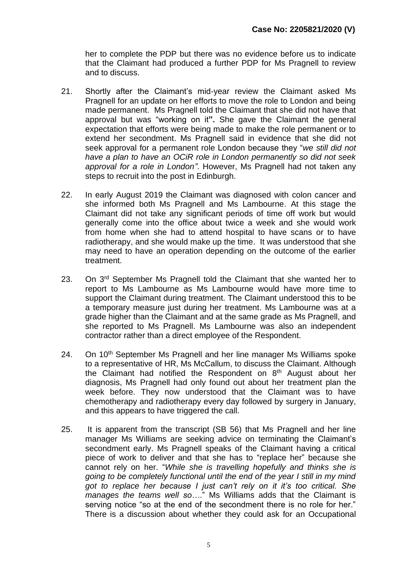her to complete the PDP but there was no evidence before us to indicate that the Claimant had produced a further PDP for Ms Pragnell to review and to discuss.

- 21. Shortly after the Claimant's mid-year review the Claimant asked Ms Pragnell for an update on her efforts to move the role to London and being made permanent. Ms Pragnell told the Claimant that she did not have that approval but was "working on it**".** She gave the Claimant the general expectation that efforts were being made to make the role permanent or to extend her secondment. Ms Pragnell said in evidence that she did not seek approval for a permanent role London because they "*we still did not have a plan to have an OCiR role in London permanently so did not seek approval for a role in London"*. However, Ms Pragnell had not taken any steps to recruit into the post in Edinburgh.
- 22. In early August 2019 the Claimant was diagnosed with colon cancer and she informed both Ms Pragnell and Ms Lambourne. At this stage the Claimant did not take any significant periods of time off work but would generally come into the office about twice a week and she would work from home when she had to attend hospital to have scans or to have radiotherapy, and she would make up the time. It was understood that she may need to have an operation depending on the outcome of the earlier treatment.
- 23. On 3<sup>rd</sup> September Ms Pragnell told the Claimant that she wanted her to report to Ms Lambourne as Ms Lambourne would have more time to support the Claimant during treatment. The Claimant understood this to be a temporary measure just during her treatment. Ms Lambourne was at a grade higher than the Claimant and at the same grade as Ms Pragnell, and she reported to Ms Pragnell. Ms Lambourne was also an independent contractor rather than a direct employee of the Respondent.
- 24. On 10<sup>th</sup> September Ms Pragnell and her line manager Ms Williams spoke to a representative of HR, Ms McCallum, to discuss the Claimant. Although the Claimant had notified the Respondent on  $8<sup>th</sup>$  August about her diagnosis, Ms Pragnell had only found out about her treatment plan the week before. They now understood that the Claimant was to have chemotherapy and radiotherapy every day followed by surgery in January, and this appears to have triggered the call.
- 25. It is apparent from the transcript (SB 56) that Ms Pragnell and her line manager Ms Williams are seeking advice on terminating the Claimant's secondment early. Ms Pragnell speaks of the Claimant having a critical piece of work to deliver and that she has to "replace her" because she cannot rely on her. "*While she is travelling hopefully and thinks she is going to be completely functional until the end of the year I still in my mind got to replace her because I just can't rely on it it's too critical. She manages the teams well so…*." Ms Williams adds that the Claimant is serving notice "so at the end of the secondment there is no role for her." There is a discussion about whether they could ask for an Occupational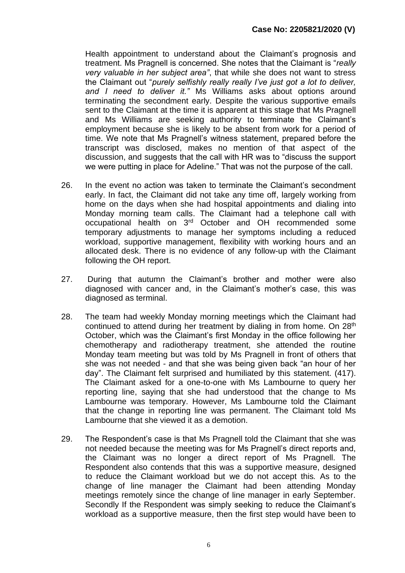Health appointment to understand about the Claimant's prognosis and treatment. Ms Pragnell is concerned. She notes that the Claimant is "*really very valuable in her subject area"*, that while she does not want to stress the Claimant out "*purely selfishly really really I've just got a lot to deliver, and I need to deliver it."* Ms Williams asks about options around terminating the secondment early. Despite the various supportive emails sent to the Claimant at the time it is apparent at this stage that Ms Pragnell and Ms Williams are seeking authority to terminate the Claimant's employment because she is likely to be absent from work for a period of time. We note that Ms Pragnell's witness statement, prepared before the transcript was disclosed, makes no mention of that aspect of the discussion, and suggests that the call with HR was to "discuss the support we were putting in place for Adeline." That was not the purpose of the call.

- 26. In the event no action was taken to terminate the Claimant's secondment early. In fact, the Claimant did not take any time off, largely working from home on the days when she had hospital appointments and dialing into Monday morning team calls. The Claimant had a telephone call with occupational health on 3rd October and OH recommended some temporary adjustments to manage her symptoms including a reduced workload, supportive management, flexibility with working hours and an allocated desk. There is no evidence of any follow-up with the Claimant following the OH report.
- 27. During that autumn the Claimant's brother and mother were also diagnosed with cancer and, in the Claimant's mother's case, this was diagnosed as terminal.
- 28. The team had weekly Monday morning meetings which the Claimant had continued to attend during her treatment by dialing in from home. On 28<sup>th</sup> October, which was the Claimant's first Monday in the office following her chemotherapy and radiotherapy treatment, she attended the routine Monday team meeting but was told by Ms Pragnell in front of others that she was not needed - and that she was being given back "an hour of her day". The Claimant felt surprised and humiliated by this statement. (417). The Claimant asked for a one-to-one with Ms Lambourne to query her reporting line, saying that she had understood that the change to Ms Lambourne was temporary. However, Ms Lambourne told the Claimant that the change in reporting line was permanent. The Claimant told Ms Lambourne that she viewed it as a demotion.
- 29. The Respondent's case is that Ms Pragnell told the Claimant that she was not needed because the meeting was for Ms Pragnell's direct reports and, the Claimant was no longer a direct report of Ms Pragnell. The Respondent also contends that this was a supportive measure, designed to reduce the Claimant workload but we do not accept this*.* As to the change of line manager the Claimant had been attending Monday meetings remotely since the change of line manager in early September. Secondly If the Respondent was simply seeking to reduce the Claimant's workload as a supportive measure, then the first step would have been to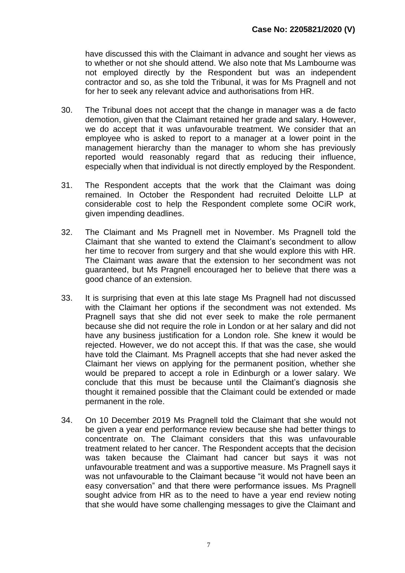have discussed this with the Claimant in advance and sought her views as to whether or not she should attend. We also note that Ms Lambourne was not employed directly by the Respondent but was an independent contractor and so, as she told the Tribunal, it was for Ms Pragnell and not for her to seek any relevant advice and authorisations from HR.

- 30. The Tribunal does not accept that the change in manager was a de facto demotion, given that the Claimant retained her grade and salary. However, we do accept that it was unfavourable treatment. We consider that an employee who is asked to report to a manager at a lower point in the management hierarchy than the manager to whom she has previously reported would reasonably regard that as reducing their influence, especially when that individual is not directly employed by the Respondent.
- 31. The Respondent accepts that the work that the Claimant was doing remained. In October the Respondent had recruited Deloitte LLP at considerable cost to help the Respondent complete some OCiR work, given impending deadlines.
- 32. The Claimant and Ms Pragnell met in November. Ms Pragnell told the Claimant that she wanted to extend the Claimant's secondment to allow her time to recover from surgery and that she would explore this with HR. The Claimant was aware that the extension to her secondment was not guaranteed, but Ms Pragnell encouraged her to believe that there was a good chance of an extension.
- 33. It is surprising that even at this late stage Ms Pragnell had not discussed with the Claimant her options if the secondment was not extended. Ms Pragnell says that she did not ever seek to make the role permanent because she did not require the role in London or at her salary and did not have any business justification for a London role. She knew it would be rejected. However, we do not accept this. If that was the case, she would have told the Claimant. Ms Pragnell accepts that she had never asked the Claimant her views on applying for the permanent position, whether she would be prepared to accept a role in Edinburgh or a lower salary. We conclude that this must be because until the Claimant's diagnosis she thought it remained possible that the Claimant could be extended or made permanent in the role.
- 34. On 10 December 2019 Ms Pragnell told the Claimant that she would not be given a year end performance review because she had better things to concentrate on. The Claimant considers that this was unfavourable treatment related to her cancer. The Respondent accepts that the decision was taken because the Claimant had cancer but says it was not unfavourable treatment and was a supportive measure. Ms Pragnell says it was not unfavourable to the Claimant because "it would not have been an easy conversation" and that there were performance issues. Ms Pragnell sought advice from HR as to the need to have a year end review noting that she would have some challenging messages to give the Claimant and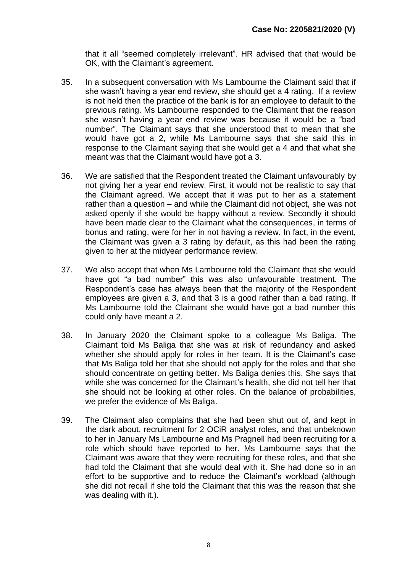that it all "seemed completely irrelevant". HR advised that that would be OK, with the Claimant's agreement.

- 35. In a subsequent conversation with Ms Lambourne the Claimant said that if she wasn't having a year end review, she should get a 4 rating. If a review is not held then the practice of the bank is for an employee to default to the previous rating. Ms Lambourne responded to the Claimant that the reason she wasn't having a year end review was because it would be a "bad number". The Claimant says that she understood that to mean that she would have got a 2, while Ms Lambourne says that she said this in response to the Claimant saying that she would get a 4 and that what she meant was that the Claimant would have got a 3.
- 36. We are satisfied that the Respondent treated the Claimant unfavourably by not giving her a year end review. First, it would not be realistic to say that the Claimant agreed. We accept that it was put to her as a statement rather than a question – and while the Claimant did not object, she was not asked openly if she would be happy without a review. Secondly it should have been made clear to the Claimant what the consequences, in terms of bonus and rating, were for her in not having a review. In fact, in the event, the Claimant was given a 3 rating by default, as this had been the rating given to her at the midyear performance review.
- 37. We also accept that when Ms Lambourne told the Claimant that she would have got "a bad number" this was also unfavourable treatment. The Respondent's case has always been that the majority of the Respondent employees are given a 3, and that 3 is a good rather than a bad rating. If Ms Lambourne told the Claimant she would have got a bad number this could only have meant a 2.
- 38. In January 2020 the Claimant spoke to a colleague Ms Baliga. The Claimant told Ms Baliga that she was at risk of redundancy and asked whether she should apply for roles in her team. It is the Claimant's case that Ms Baliga told her that she should not apply for the roles and that she should concentrate on getting better. Ms Baliga denies this. She says that while she was concerned for the Claimant's health, she did not tell her that she should not be looking at other roles. On the balance of probabilities, we prefer the evidence of Ms Baliga.
- 39. The Claimant also complains that she had been shut out of, and kept in the dark about, recruitment for 2 OCiR analyst roles, and that unbeknown to her in January Ms Lambourne and Ms Pragnell had been recruiting for a role which should have reported to her. Ms Lambourne says that the Claimant was aware that they were recruiting for these roles, and that she had told the Claimant that she would deal with it. She had done so in an effort to be supportive and to reduce the Claimant's workload (although she did not recall if she told the Claimant that this was the reason that she was dealing with it.).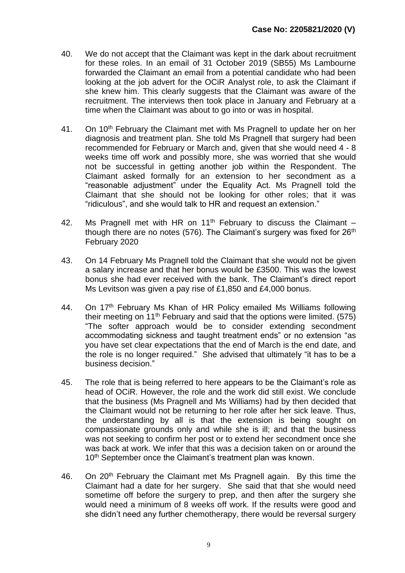- 40. We do not accept that the Claimant was kept in the dark about recruitment for these roles. In an email of 31 October 2019 (SB55) Ms Lambourne forwarded the Claimant an email from a potential candidate who had been looking at the job advert for the OCiR Analyst role, to ask the Claimant if she knew him. This clearly suggests that the Claimant was aware of the recruitment. The interviews then took place in January and February at a time when the Claimant was about to go into or was in hospital.
- 41. On 10<sup>th</sup> February the Claimant met with Ms Pragnell to update her on her diagnosis and treatment plan. She told Ms Pragnell that surgery had been recommended for February or March and, given that she would need 4 - 8 weeks time off work and possibly more, she was worried that she would not be successful in getting another job within the Respondent. The Claimant asked formally for an extension to her secondment as a "reasonable adjustment" under the Equality Act. Ms Pragnell told the Claimant that she should not be looking for other roles; that it was "ridiculous", and she would talk to HR and request an extension."
- 42. Ms Pragnell met with HR on  $11<sup>th</sup>$  February to discuss the Claimant though there are no notes (576). The Claimant's surgery was fixed for  $26<sup>th</sup>$ February 2020
- 43. On 14 February Ms Pragnell told the Claimant that she would not be given a salary increase and that her bonus would be £3500. This was the lowest bonus she had ever received with the bank. The Claimant's direct report Ms Levitson was given a pay rise of £1,850 and £4,000 bonus.
- 44. On 17<sup>th</sup> February Ms Khan of HR Policy emailed Ms Williams following their meeting on 11<sup>th</sup> February and said that the options were limited. (575) "The softer approach would be to consider extending secondment accommodating sickness and taught treatment ends" or no extension "as you have set clear expectations that the end of March is the end date, and the role is no longer required." She advised that ultimately "it has to be a business decision."
- 45. The role that is being referred to here appears to be the Claimant's role as head of OCiR. However, the role and the work did still exist. We conclude that the business (Ms Pragnell and Ms Williams) had by then decided that the Claimant would not be returning to her role after her sick leave. Thus, the understanding by all is that the extension is being sought on compassionate grounds only and while she is ill; and that the business was not seeking to confirm her post or to extend her secondment once she was back at work. We infer that this was a decision taken on or around the 10<sup>th</sup> September once the Claimant's treatment plan was known.
- 46. On 20<sup>th</sup> February the Claimant met Ms Pragnell again. By this time the Claimant had a date for her surgery. She said that that she would need sometime off before the surgery to prep, and then after the surgery she would need a minimum of 8 weeks off work. If the results were good and she didn't need any further chemotherapy, there would be reversal surgery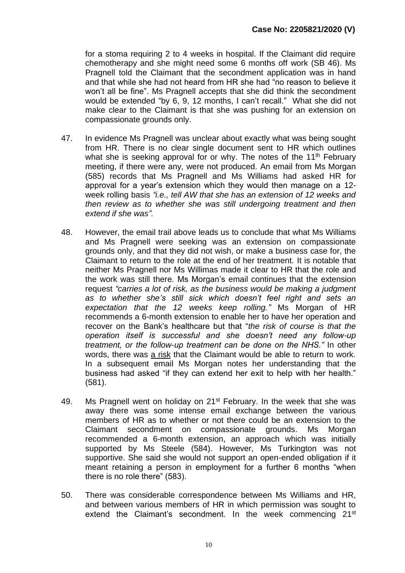for a stoma requiring 2 to 4 weeks in hospital. If the Claimant did require chemotherapy and she might need some 6 months off work (SB 46). Ms Pragnell told the Claimant that the secondment application was in hand and that while she had not heard from HR she had "no reason to believe it won't all be fine". Ms Pragnell accepts that she did think the secondment would be extended "by 6, 9, 12 months, I can't recall." What she did not make clear to the Claimant is that she was pushing for an extension on compassionate grounds only.

- 47. In evidence Ms Pragnell was unclear about exactly what was being sought from HR. There is no clear single document sent to HR which outlines what she is seeking approval for or why. The notes of the  $11<sup>th</sup>$  February meeting, if there were any, were not produced. An email from Ms Morgan (585) records that Ms Pragnell and Ms Williams had asked HR for approval for a year's extension which they would then manage on a 12 week rolling basis *"i.e., tell AW that she has an extension of 12 weeks and then review as to whether she was still undergoing treatment and then extend if she was".*
- 48. However, the email trail above leads us to conclude that what Ms Williams and Ms Pragnell were seeking was an extension on compassionate grounds only, and that they did not wish, or make a business case for, the Claimant to return to the role at the end of her treatment. It is notable that neither Ms Pragnell nor Ms Willimas made it clear to HR that the role and the work was still there*.* Ms Morgan's email continues that the extension request *"carries a lot of risk, as the business would be making a judgment as to whether she's still sick which doesn't feel right and sets an expectation that the 12 weeks keep rolling."* Ms Morgan of HR recommends a 6-month extension to enable her to have her operation and recover on the Bank's healthcare but that "*the risk of course is that the operation itself is successful and she doesn't need any follow-up treatment, or the follow-up treatment can be done on the NHS."* In other words, there was a risk that the Claimant would be able to return to work. In a subsequent email Ms Morgan notes her understanding that the business had asked "if they can extend her exit to help with her health." (581).
- 49. Ms Pragnell went on holiday on  $21^{st}$  February. In the week that she was away there was some intense email exchange between the various members of HR as to whether or not there could be an extension to the Claimant secondment on compassionate grounds. Ms Morgan recommended a 6-month extension, an approach which was initially supported by Ms Steele (584). However, Ms Turkington was not supportive. She said she would not support an open-ended obligation if it meant retaining a person in employment for a further 6 months "when there is no role there" (583).
- 50. There was considerable correspondence between Ms Williams and HR, and between various members of HR in which permission was sought to extend the Claimant's secondment. In the week commencing  $21^{st}$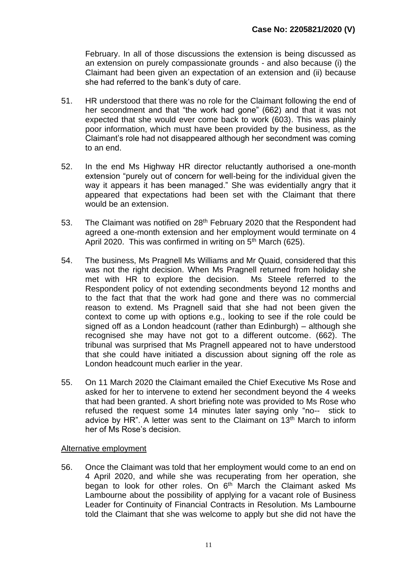February. In all of those discussions the extension is being discussed as an extension on purely compassionate grounds - and also because (i) the Claimant had been given an expectation of an extension and (ii) because she had referred to the bank's duty of care.

- 51. HR understood that there was no role for the Claimant following the end of her secondment and that "the work had gone" (662) and that it was not expected that she would ever come back to work (603). This was plainly poor information, which must have been provided by the business, as the Claimant's role had not disappeared although her secondment was coming to an end.
- 52. In the end Ms Highway HR director reluctantly authorised a one-month extension "purely out of concern for well-being for the individual given the way it appears it has been managed." She was evidentially angry that it appeared that expectations had been set with the Claimant that there would be an extension.
- 53. The Claimant was notified on 28<sup>th</sup> February 2020 that the Respondent had agreed a one-month extension and her employment would terminate on 4 April 2020. This was confirmed in writing on 5<sup>th</sup> March (625).
- 54. The business, Ms Pragnell Ms Williams and Mr Quaid, considered that this was not the right decision. When Ms Pragnell returned from holiday she met with HR to explore the decision. Ms Steele referred to the Respondent policy of not extending secondments beyond 12 months and to the fact that that the work had gone and there was no commercial reason to extend. Ms Pragnell said that she had not been given the context to come up with options e.g., looking to see if the role could be signed off as a London headcount (rather than Edinburgh) – although she recognised she may have not got to a different outcome. (662). The tribunal was surprised that Ms Pragnell appeared not to have understood that she could have initiated a discussion about signing off the role as London headcount much earlier in the year.
- 55. On 11 March 2020 the Claimant emailed the Chief Executive Ms Rose and asked for her to intervene to extend her secondment beyond the 4 weeks that had been granted. A short briefing note was provided to Ms Rose who refused the request some 14 minutes later saying only "no-- stick to advice by HR". A letter was sent to the Claimant on 13<sup>th</sup> March to inform her of Ms Rose's decision.

#### Alternative employment

56. Once the Claimant was told that her employment would come to an end on 4 April 2020, and while she was recuperating from her operation, she began to look for other roles. On  $6<sup>th</sup>$  March the Claimant asked Ms Lambourne about the possibility of applying for a vacant role of Business Leader for Continuity of Financial Contracts in Resolution. Ms Lambourne told the Claimant that she was welcome to apply but she did not have the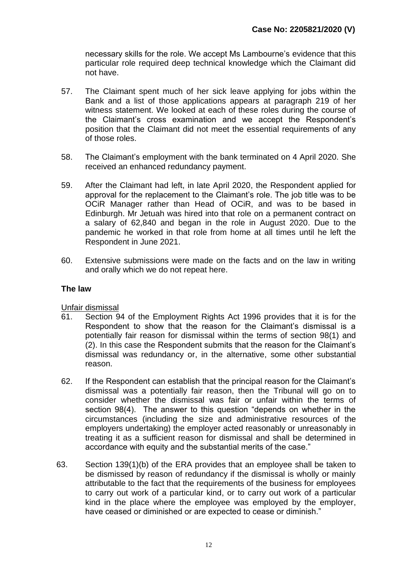necessary skills for the role. We accept Ms Lambourne's evidence that this particular role required deep technical knowledge which the Claimant did not have.

- 57. The Claimant spent much of her sick leave applying for jobs within the Bank and a list of those applications appears at paragraph 219 of her witness statement. We looked at each of these roles during the course of the Claimant's cross examination and we accept the Respondent's position that the Claimant did not meet the essential requirements of any of those roles.
- 58. The Claimant's employment with the bank terminated on 4 April 2020. She received an enhanced redundancy payment.
- 59. After the Claimant had left, in late April 2020, the Respondent applied for approval for the replacement to the Claimant's role. The job title was to be OCiR Manager rather than Head of OCiR, and was to be based in Edinburgh. Mr Jetuah was hired into that role on a permanent contract on a salary of 62,840 and began in the role in August 2020. Due to the pandemic he worked in that role from home at all times until he left the Respondent in June 2021.
- 60. Extensive submissions were made on the facts and on the law in writing and orally which we do not repeat here.

## **The law**

Unfair dismissal

- 61. Section 94 of the Employment Rights Act 1996 provides that it is for the Respondent to show that the reason for the Claimant's dismissal is a potentially fair reason for dismissal within the terms of section 98(1) and (2). In this case the Respondent submits that the reason for the Claimant's dismissal was redundancy or, in the alternative, some other substantial reason.
- 62. If the Respondent can establish that the principal reason for the Claimant's dismissal was a potentially fair reason, then the Tribunal will go on to consider whether the dismissal was fair or unfair within the terms of section 98(4). The answer to this question "depends on whether in the circumstances (including the size and administrative resources of the employers undertaking) the employer acted reasonably or unreasonably in treating it as a sufficient reason for dismissal and shall be determined in accordance with equity and the substantial merits of the case."
- 63. Section 139(1)(b) of the ERA provides that an employee shall be taken to be dismissed by reason of redundancy if the dismissal is wholly or mainly attributable to the fact that the requirements of the business for employees to carry out work of a particular kind, or to carry out work of a particular kind in the place where the employee was employed by the employer, have ceased or diminished or are expected to cease or diminish."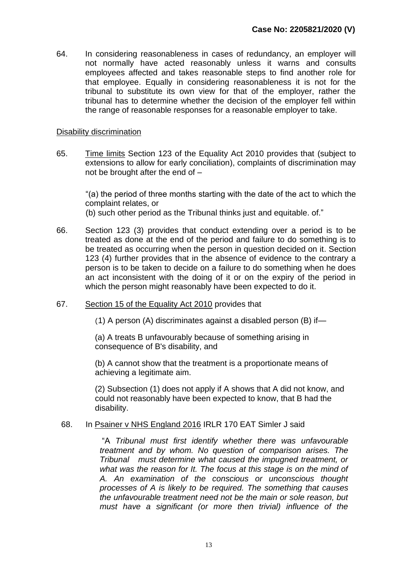64. In considering reasonableness in cases of redundancy, an employer will not normally have acted reasonably unless it warns and consults employees affected and takes reasonable steps to find another role for that employee. Equally in considering reasonableness it is not for the tribunal to substitute its own view for that of the employer, rather the tribunal has to determine whether the decision of the employer fell within the range of reasonable responses for a reasonable employer to take.

#### Disability discrimination

65. Time limits Section 123 of the Equality Act 2010 provides that (subject to extensions to allow for early conciliation), complaints of discrimination may not be brought after the end of –

"(a) the period of three months starting with the date of the act to which the complaint relates, or (b) such other period as the Tribunal thinks just and equitable. of."

- 66. Section 123 (3) provides that conduct extending over a period is to be treated as done at the end of the period and failure to do something is to be treated as occurring when the person in question decided on it. Section 123 (4) further provides that in the absence of evidence to the contrary a person is to be taken to decide on a failure to do something when he does an act inconsistent with the doing of it or on the expiry of the period in which the person might reasonably have been expected to do it.
- 67. Section 15 of the Equality Act 2010 provides that

(1) A person (A) discriminates against a disabled person (B) if—

(a) A treats B unfavourably because of something arising in consequence of B's disability, and

(b) A cannot show that the treatment is a proportionate means of achieving a legitimate aim.

(2) Subsection (1) does not apply if A shows that A did not know, and could not reasonably have been expected to know, that B had the disability.

#### 68. In Psainer v NHS England 2016 IRLR 170 EAT Simler J said

"A *Tribunal must first identify whether there was unfavourable treatment and by whom. No question of comparison arises. The Tribunal must determine what caused the impugned treatment, or what was the reason for It. The focus at this stage is on the mind of A. An examination of the conscious or unconscious thought processes of A is likely to be required. The something that causes the unfavourable treatment need not be the main or sole reason, but must have a significant (or more then trivial) influence of the*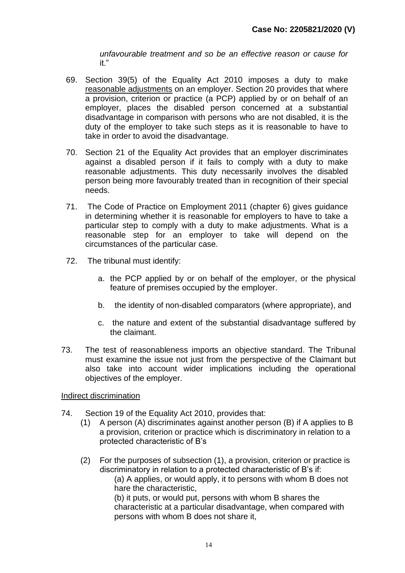*unfavourable treatment and so be an effective reason or cause for* it."

- 69. Section 39(5) of the Equality Act 2010 imposes a duty to make reasonable adjustments on an employer. Section 20 provides that where a provision, criterion or practice (a PCP) applied by or on behalf of an employer, places the disabled person concerned at a substantial disadvantage in comparison with persons who are not disabled, it is the duty of the employer to take such steps as it is reasonable to have to take in order to avoid the disadvantage.
- 70. Section 21 of the Equality Act provides that an employer discriminates against a disabled person if it fails to comply with a duty to make reasonable adjustments. This duty necessarily involves the disabled person being more favourably treated than in recognition of their special needs.
- 71. The Code of Practice on Employment 2011 (chapter 6) gives guidance in determining whether it is reasonable for employers to have to take a particular step to comply with a duty to make adjustments. What is a reasonable step for an employer to take will depend on the circumstances of the particular case*.*
- 72. The tribunal must identify:
	- a. the PCP applied by or on behalf of the employer, or the physical feature of premises occupied by the employer.
	- b. the identity of non-disabled comparators (where appropriate), and
	- c. the nature and extent of the substantial disadvantage suffered by the claimant.
- 73. The test of reasonableness imports an objective standard. The Tribunal must examine the issue not just from the perspective of the Claimant but also take into account wider implications including the operational objectives of the employer.

Indirect discrimination

- 74. Section 19 of the Equality Act 2010, provides that:
	- (1) A person (A) discriminates against another person (B) if A applies to B a provision, criterion or practice which is discriminatory in relation to a protected characteristic of B's
	- (2) For the purposes of subsection (1), a provision, criterion or practice is discriminatory in relation to a protected characteristic of B's if: (a) A applies, or would apply, it to persons with whom B does not hare the characteristic, (b) it puts, or would put, persons with whom B shares the characteristic at a particular disadvantage, when compared with persons with whom B does not share it,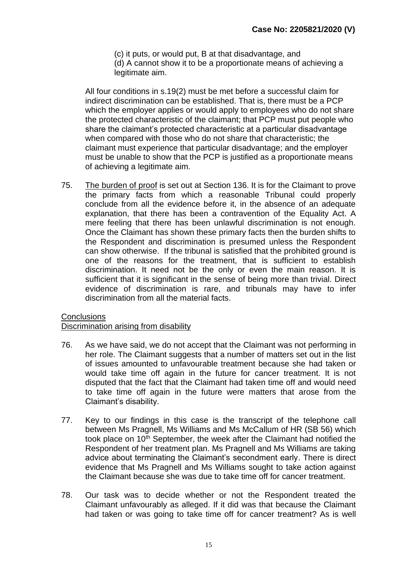(c) it puts, or would put, B at that disadvantage, and (d) A cannot show it to be a proportionate means of achieving a legitimate aim.

All four conditions in s.19(2) must be met before a successful claim for indirect discrimination can be established. That is, there must be a PCP which the employer applies or would apply to employees who do not share the protected characteristic of the claimant; that PCP must put people who share the claimant's protected characteristic at a particular disadvantage when compared with those who do not share that characteristic; the claimant must experience that particular disadvantage; and the employer must be unable to show that the PCP is justified as a proportionate means of achieving a legitimate aim.

75. The burden of proof is set out at Section 136. It is for the Claimant to prove the primary facts from which a reasonable Tribunal could properly conclude from all the evidence before it, in the absence of an adequate explanation, that there has been a contravention of the Equality Act. A mere feeling that there has been unlawful discrimination is not enough. Once the Claimant has shown these primary facts then the burden shifts to the Respondent and discrimination is presumed unless the Respondent can show otherwise. If the tribunal is satisfied that the prohibited ground is one of the reasons for the treatment, that is sufficient to establish discrimination. It need not be the only or even the main reason. It is sufficient that it is significant in the sense of being more than trivial. Direct evidence of discrimination is rare, and tribunals may have to infer discrimination from all the material facts.

#### **Conclusions**

Discrimination arising from disability

- 76. As we have said, we do not accept that the Claimant was not performing in her role. The Claimant suggests that a number of matters set out in the list of issues amounted to unfavourable treatment because she had taken or would take time off again in the future for cancer treatment. It is not disputed that the fact that the Claimant had taken time off and would need to take time off again in the future were matters that arose from the Claimant's disability.
- 77. Key to our findings in this case is the transcript of the telephone call between Ms Pragnell, Ms Williams and Ms McCallum of HR (SB 56) which took place on 10<sup>th</sup> September, the week after the Claimant had notified the Respondent of her treatment plan. Ms Pragnell and Ms Williams are taking advice about terminating the Claimant's secondment early. There is direct evidence that Ms Pragnell and Ms Williams sought to take action against the Claimant because she was due to take time off for cancer treatment.
- 78. Our task was to decide whether or not the Respondent treated the Claimant unfavourably as alleged. If it did was that because the Claimant had taken or was going to take time off for cancer treatment? As is well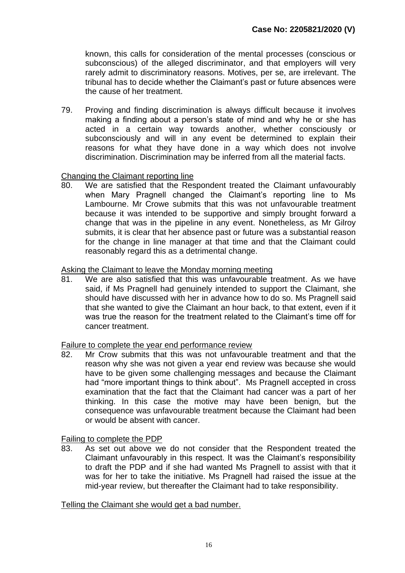known, this calls for consideration of the mental processes (conscious or subconscious) of the alleged discriminator, and that employers will very rarely admit to discriminatory reasons. Motives, per se, are irrelevant. The tribunal has to decide whether the Claimant's past or future absences were the cause of her treatment.

79. Proving and finding discrimination is always difficult because it involves making a finding about a person's state of mind and why he or she has acted in a certain way towards another, whether consciously or subconsciously and will in any event be determined to explain their reasons for what they have done in a way which does not involve discrimination. Discrimination may be inferred from all the material facts.

# Changing the Claimant reporting line

80. We are satisfied that the Respondent treated the Claimant unfavourably when Mary Pragnell changed the Claimant's reporting line to Ms Lambourne. Mr Crowe submits that this was not unfavourable treatment because it was intended to be supportive and simply brought forward a change that was in the pipeline in any event. Nonetheless, as Mr Gilroy submits, it is clear that her absence past or future was a substantial reason for the change in line manager at that time and that the Claimant could reasonably regard this as a detrimental change.

# Asking the Claimant to leave the Monday morning meeting

81. We are also satisfied that this was unfavourable treatment. As we have said, if Ms Pragnell had genuinely intended to support the Claimant, she should have discussed with her in advance how to do so. Ms Pragnell said that she wanted to give the Claimant an hour back, to that extent, even if it was true the reason for the treatment related to the Claimant's time off for cancer treatment.

#### Failure to complete the year end performance review

82. Mr Crow submits that this was not unfavourable treatment and that the reason why she was not given a year end review was because she would have to be given some challenging messages and because the Claimant had "more important things to think about". Ms Pragnell accepted in cross examination that the fact that the Claimant had cancer was a part of her thinking. In this case the motive may have been benign, but the consequence was unfavourable treatment because the Claimant had been or would be absent with cancer.

Failing to complete the PDP

83. As set out above we do not consider that the Respondent treated the Claimant unfavourably in this respect. It was the Claimant's responsibility to draft the PDP and if she had wanted Ms Pragnell to assist with that it was for her to take the initiative. Ms Pragnell had raised the issue at the mid-year review, but thereafter the Claimant had to take responsibility.

# Telling the Claimant she would get a bad number.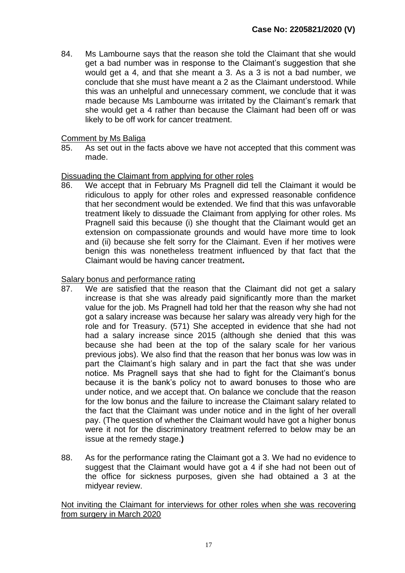84. Ms Lambourne says that the reason she told the Claimant that she would get a bad number was in response to the Claimant's suggestion that she would get a 4, and that she meant a 3. As a 3 is not a bad number, we conclude that she must have meant a 2 as the Claimant understood. While this was an unhelpful and unnecessary comment, we conclude that it was made because Ms Lambourne was irritated by the Claimant's remark that she would get a 4 rather than because the Claimant had been off or was likely to be off work for cancer treatment.

#### Comment by Ms Baliga

85. As set out in the facts above we have not accepted that this comment was made.

# Dissuading the Claimant from applying for other roles

86. We accept that in February Ms Pragnell did tell the Claimant it would be ridiculous to apply for other roles and expressed reasonable confidence that her secondment would be extended. We find that this was unfavorable treatment likely to dissuade the Claimant from applying for other roles. Ms Pragnell said this because (i) she thought that the Claimant would get an extension on compassionate grounds and would have more time to look and (ii) because she felt sorry for the Claimant. Even if her motives were benign this was nonetheless treatment influenced by that fact that the Claimant would be having cancer treatment**.** 

# Salary bonus and performance rating

- 87. We are satisfied that the reason that the Claimant did not get a salary increase is that she was already paid significantly more than the market value for the job. Ms Pragnell had told her that the reason why she had not got a salary increase was because her salary was already very high for the role and for Treasury. (571) She accepted in evidence that she had not had a salary increase since 2015 (although she denied that this was because she had been at the top of the salary scale for her various previous jobs). We also find that the reason that her bonus was low was in part the Claimant's high salary and in part the fact that she was under notice. Ms Pragnell says that she had to fight for the Claimant's bonus because it is the bank's policy not to award bonuses to those who are under notice, and we accept that. On balance we conclude that the reason for the low bonus and the failure to increase the Claimant salary related to the fact that the Claimant was under notice and in the light of her overall pay. (The question of whether the Claimant would have got a higher bonus were it not for the discriminatory treatment referred to below may be an issue at the remedy stage.**)**
- 88. As for the performance rating the Claimant got a 3. We had no evidence to suggest that the Claimant would have got a 4 if she had not been out of the office for sickness purposes, given she had obtained a 3 at the midyear review.

#### Not inviting the Claimant for interviews for other roles when she was recovering from surgery in March 2020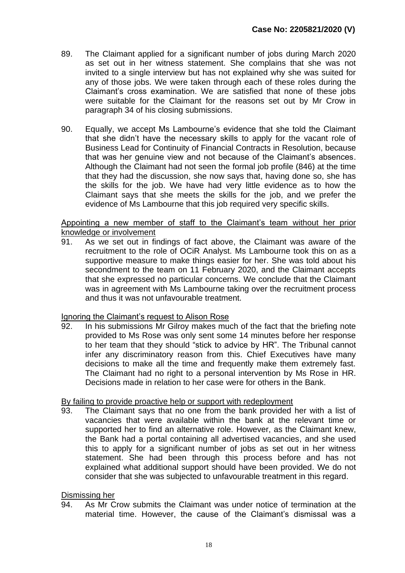- 89. The Claimant applied for a significant number of jobs during March 2020 as set out in her witness statement. She complains that she was not invited to a single interview but has not explained why she was suited for any of those jobs. We were taken through each of these roles during the Claimant's cross examination. We are satisfied that none of these jobs were suitable for the Claimant for the reasons set out by Mr Crow in paragraph 34 of his closing submissions.
- 90. Equally, we accept Ms Lambourne's evidence that she told the Claimant that she didn't have the necessary skills to apply for the vacant role of Business Lead for Continuity of Financial Contracts in Resolution, because that was her genuine view and not because of the Claimant's absences. Although the Claimant had not seen the formal job profile (846) at the time that they had the discussion, she now says that, having done so, she has the skills for the job. We have had very little evidence as to how the Claimant says that she meets the skills for the job, and we prefer the evidence of Ms Lambourne that this job required very specific skills.

## Appointing a new member of staff to the Claimant's team without her prior knowledge or involvement

91. As we set out in findings of fact above, the Claimant was aware of the recruitment to the role of OCiR Analyst. Ms Lambourne took this on as a supportive measure to make things easier for her. She was told about his secondment to the team on 11 February 2020, and the Claimant accepts that she expressed no particular concerns. We conclude that the Claimant was in agreement with Ms Lambourne taking over the recruitment process and thus it was not unfavourable treatment.

#### Ignoring the Claimant's request to Alison Rose

92. In his submissions Mr Gilroy makes much of the fact that the briefing note provided to Ms Rose was only sent some 14 minutes before her response to her team that they should "stick to advice by HR". The Tribunal cannot infer any discriminatory reason from this. Chief Executives have many decisions to make all the time and frequently make them extremely fast. The Claimant had no right to a personal intervention by Ms Rose in HR. Decisions made in relation to her case were for others in the Bank.

#### By failing to provide proactive help or support with redeployment

93. The Claimant says that no one from the bank provided her with a list of vacancies that were available within the bank at the relevant time or supported her to find an alternative role. However, as the Claimant knew, the Bank had a portal containing all advertised vacancies, and she used this to apply for a significant number of jobs as set out in her witness statement. She had been through this process before and has not explained what additional support should have been provided. We do not consider that she was subjected to unfavourable treatment in this regard.

# Dismissing her

94. As Mr Crow submits the Claimant was under notice of termination at the material time. However, the cause of the Claimant's dismissal was a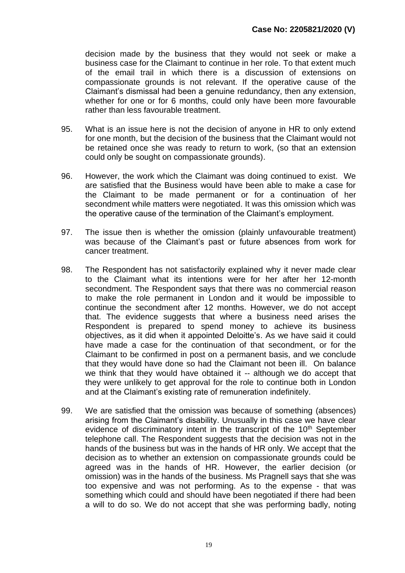decision made by the business that they would not seek or make a business case for the Claimant to continue in her role. To that extent much of the email trail in which there is a discussion of extensions on compassionate grounds is not relevant. If the operative cause of the Claimant's dismissal had been a genuine redundancy, then any extension, whether for one or for 6 months, could only have been more favourable rather than less favourable treatment.

- 95. What is an issue here is not the decision of anyone in HR to only extend for one month, but the decision of the business that the Claimant would not be retained once she was ready to return to work, (so that an extension could only be sought on compassionate grounds).
- 96. However, the work which the Claimant was doing continued to exist. We are satisfied that the Business would have been able to make a case for the Claimant to be made permanent or for a continuation of her secondment while matters were negotiated. It was this omission which was the operative cause of the termination of the Claimant's employment.
- 97. The issue then is whether the omission (plainly unfavourable treatment) was because of the Claimant's past or future absences from work for cancer treatment.
- 98. The Respondent has not satisfactorily explained why it never made clear to the Claimant what its intentions were for her after her 12-month secondment. The Respondent says that there was no commercial reason to make the role permanent in London and it would be impossible to continue the secondment after 12 months. However, we do not accept that. The evidence suggests that where a business need arises the Respondent is prepared to spend money to achieve its business objectives, as it did when it appointed Deloitte's. As we have said it could have made a case for the continuation of that secondment, or for the Claimant to be confirmed in post on a permanent basis, and we conclude that they would have done so had the Claimant not been ill. On balance we think that they would have obtained it -- although we do accept that they were unlikely to get approval for the role to continue both in London and at the Claimant's existing rate of remuneration indefinitely.
- 99. We are satisfied that the omission was because of something (absences) arising from the Claimant's disability. Unusually in this case we have clear evidence of discriminatory intent in the transcript of the  $10<sup>th</sup>$  September telephone call. The Respondent suggests that the decision was not in the hands of the business but was in the hands of HR only. We accept that the decision as to whether an extension on compassionate grounds could be agreed was in the hands of HR. However, the earlier decision (or omission) was in the hands of the business. Ms Pragnell says that she was too expensive and was not performing. As to the expense - that was something which could and should have been negotiated if there had been a will to do so. We do not accept that she was performing badly, noting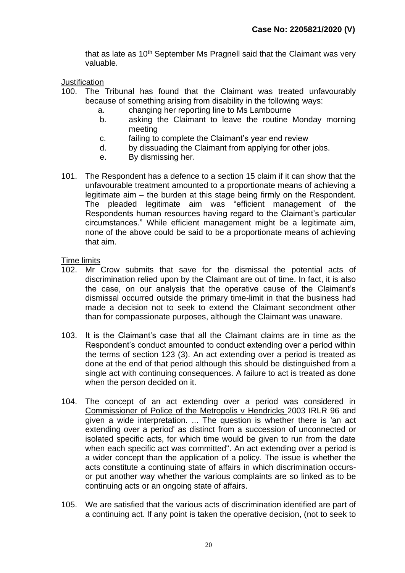that as late as  $10<sup>th</sup>$  September Ms Pragnell said that the Claimant was very valuable.

**Justification** 

- 100. The Tribunal has found that the Claimant was treated unfavourably because of something arising from disability in the following ways:
	- a. changing her reporting line to Ms Lambourne
	- b. asking the Claimant to leave the routine Monday morning meeting
	- c. failing to complete the Claimant's year end review
	- d. by dissuading the Claimant from applying for other jobs.
	- e. By dismissing her.
- 101. The Respondent has a defence to a section 15 claim if it can show that the unfavourable treatment amounted to a proportionate means of achieving a legitimate aim – the burden at this stage being firmly on the Respondent. The pleaded legitimate aim was "efficient management of the Respondents human resources having regard to the Claimant's particular circumstances." While efficient management might be a legitimate aim, none of the above could be said to be a proportionate means of achieving that aim.

Time limits

- 102. Mr Crow submits that save for the dismissal the potential acts of discrimination relied upon by the Claimant are out of time. In fact, it is also the case, on our analysis that the operative cause of the Claimant's dismissal occurred outside the primary time-limit in that the business had made a decision not to seek to extend the Claimant secondment other than for compassionate purposes, although the Claimant was unaware.
- 103. It is the Claimant's case that all the Claimant claims are in time as the Respondent's conduct amounted to conduct extending over a period within the terms of section 123 (3). An act extending over a period is treated as done at the end of that period although this should be distinguished from a single act with continuing consequences. A failure to act is treated as done when the person decided on it.
- 104. The concept of an act extending over a period was considered in Commissioner of Police of the Metropolis v Hendricks 2003 IRLR 96 and given a wide interpretation. ... The question is whether there is 'an act extending over a period' as distinct from a succession of unconnected or isolated specific acts, for which time would be given to run from the date when each specific act was committed". An act extending over a period is a wider concept than the application of a policy. The issue is whether the acts constitute a continuing state of affairs in which discrimination occursor put another way whether the various complaints are so linked as to be continuing acts or an ongoing state of affairs.
- 105. We are satisfied that the various acts of discrimination identified are part of a continuing act. If any point is taken the operative decision, (not to seek to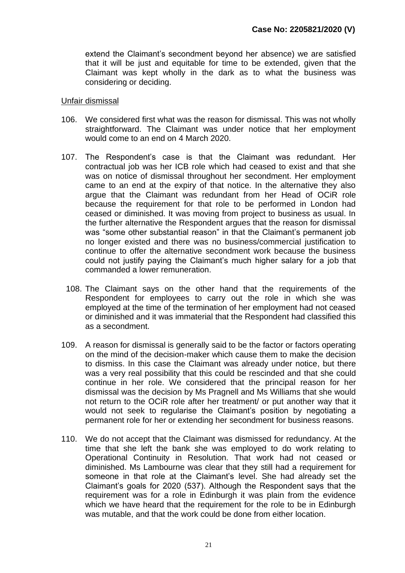extend the Claimant's secondment beyond her absence) we are satisfied that it will be just and equitable for time to be extended, given that the Claimant was kept wholly in the dark as to what the business was considering or deciding.

#### Unfair dismissal

- 106. We considered first what was the reason for dismissal. This was not wholly straightforward. The Claimant was under notice that her employment would come to an end on 4 March 2020.
- 107. The Respondent's case is that the Claimant was redundant. Her contractual job was her ICB role which had ceased to exist and that she was on notice of dismissal throughout her secondment. Her employment came to an end at the expiry of that notice. In the alternative they also argue that the Claimant was redundant from her Head of OCiR role because the requirement for that role to be performed in London had ceased or diminished. It was moving from project to business as usual. In the further alternative the Respondent argues that the reason for dismissal was "some other substantial reason" in that the Claimant's permanent job no longer existed and there was no business/commercial justification to continue to offer the alternative secondment work because the business could not justify paying the Claimant's much higher salary for a job that commanded a lower remuneration.
	- 108. The Claimant says on the other hand that the requirements of the Respondent for employees to carry out the role in which she was employed at the time of the termination of her employment had not ceased or diminished and it was immaterial that the Respondent had classified this as a secondment.
- 109. A reason for dismissal is generally said to be the factor or factors operating on the mind of the decision-maker which cause them to make the decision to dismiss. In this case the Claimant was already under notice, but there was a very real possibility that this could be rescinded and that she could continue in her role. We considered that the principal reason for her dismissal was the decision by Ms Pragnell and Ms Williams that she would not return to the OCiR role after her treatment/ or put another way that it would not seek to regularise the Claimant's position by negotiating a permanent role for her or extending her secondment for business reasons.
- 110. We do not accept that the Claimant was dismissed for redundancy. At the time that she left the bank she was employed to do work relating to Operational Continuity in Resolution. That work had not ceased or diminished. Ms Lambourne was clear that they still had a requirement for someone in that role at the Claimant's level. She had already set the Claimant's goals for 2020 (537). Although the Respondent says that the requirement was for a role in Edinburgh it was plain from the evidence which we have heard that the requirement for the role to be in Edinburgh was mutable, and that the work could be done from either location.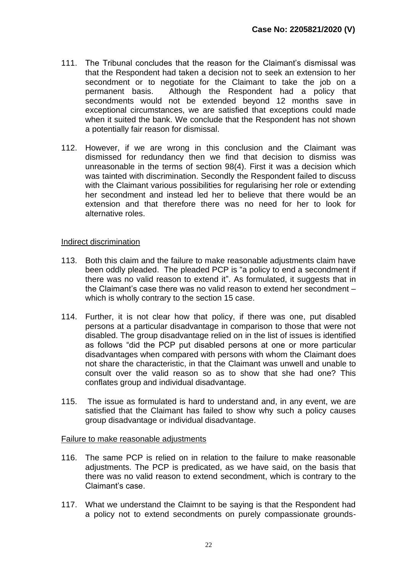- 111. The Tribunal concludes that the reason for the Claimant's dismissal was that the Respondent had taken a decision not to seek an extension to her secondment or to negotiate for the Claimant to take the job on a permanent basis. Although the Respondent had a policy that secondments would not be extended beyond 12 months save in exceptional circumstances, we are satisfied that exceptions could made when it suited the bank. We conclude that the Respondent has not shown a potentially fair reason for dismissal.
- 112. However, if we are wrong in this conclusion and the Claimant was dismissed for redundancy then we find that decision to dismiss was unreasonable in the terms of section 98(4). First it was a decision which was tainted with discrimination. Secondly the Respondent failed to discuss with the Claimant various possibilities for regularising her role or extending her secondment and instead led her to believe that there would be an extension and that therefore there was no need for her to look for alternative roles.

# Indirect discrimination

- 113. Both this claim and the failure to make reasonable adjustments claim have been oddly pleaded. The pleaded PCP is "a policy to end a secondment if there was no valid reason to extend it". As formulated, it suggests that in the Claimant's case there was no valid reason to extend her secondment – which is wholly contrary to the section 15 case.
- 114. Further, it is not clear how that policy, if there was one, put disabled persons at a particular disadvantage in comparison to those that were not disabled. The group disadvantage relied on in the list of issues is identified as follows "did the PCP put disabled persons at one or more particular disadvantages when compared with persons with whom the Claimant does not share the characteristic, in that the Claimant was unwell and unable to consult over the valid reason so as to show that she had one? This conflates group and individual disadvantage.
- 115. The issue as formulated is hard to understand and, in any event, we are satisfied that the Claimant has failed to show why such a policy causes group disadvantage or individual disadvantage.

#### Failure to make reasonable adjustments

- 116. The same PCP is relied on in relation to the failure to make reasonable adjustments. The PCP is predicated, as we have said, on the basis that there was no valid reason to extend secondment, which is contrary to the Claimant's case.
- 117. What we understand the Claimnt to be saying is that the Respondent had a policy not to extend secondments on purely compassionate grounds-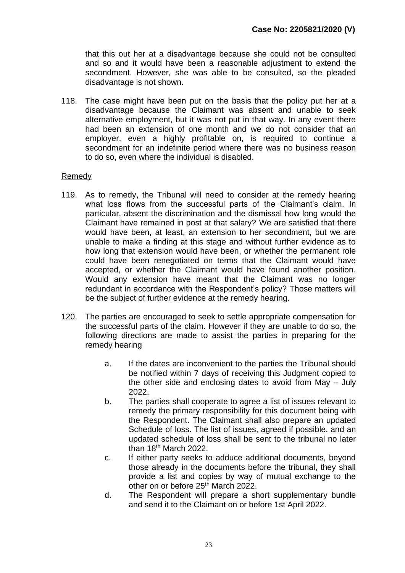that this out her at a disadvantage because she could not be consulted and so and it would have been a reasonable adjustment to extend the secondment. However, she was able to be consulted, so the pleaded disadvantage is not shown.

118. The case might have been put on the basis that the policy put her at a disadvantage because the Claimant was absent and unable to seek alternative employment, but it was not put in that way. In any event there had been an extension of one month and we do not consider that an employer, even a highly profitable on, is required to continue a secondment for an indefinite period where there was no business reason to do so, even where the individual is disabled.

# Remedy

- 119. As to remedy, the Tribunal will need to consider at the remedy hearing what loss flows from the successful parts of the Claimant's claim. In particular, absent the discrimination and the dismissal how long would the Claimant have remained in post at that salary? We are satisfied that there would have been, at least, an extension to her secondment, but we are unable to make a finding at this stage and without further evidence as to how long that extension would have been, or whether the permanent role could have been renegotiated on terms that the Claimant would have accepted, or whether the Claimant would have found another position. Would any extension have meant that the Claimant was no longer redundant in accordance with the Respondent's policy? Those matters will be the subject of further evidence at the remedy hearing.
- 120. The parties are encouraged to seek to settle appropriate compensation for the successful parts of the claim. However if they are unable to do so, the following directions are made to assist the parties in preparing for the remedy hearing
	- a. If the dates are inconvenient to the parties the Tribunal should be notified within 7 days of receiving this Judgment copied to the other side and enclosing dates to avoid from May – July 2022.
	- b. The parties shall cooperate to agree a list of issues relevant to remedy the primary responsibility for this document being with the Respondent. The Claimant shall also prepare an updated Schedule of loss. The list of issues, agreed if possible, and an updated schedule of loss shall be sent to the tribunal no later than 18<sup>th</sup> March 2022.
	- c. If either party seeks to adduce additional documents, beyond those already in the documents before the tribunal, they shall provide a list and copies by way of mutual exchange to the other on or before 25<sup>th</sup> March 2022.
	- d. The Respondent will prepare a short supplementary bundle and send it to the Claimant on or before 1st April 2022.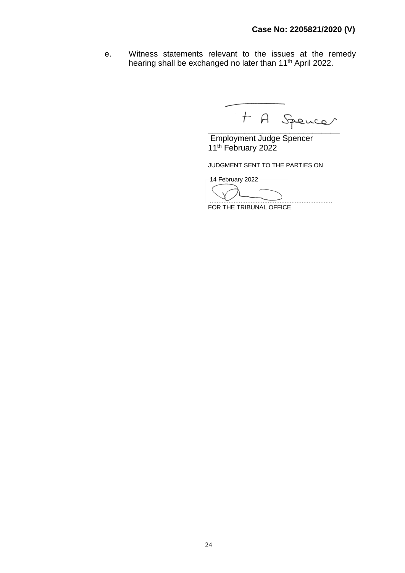e. Witness statements relevant to the issues at the remedy hearing shall be exchanged no later than 11<sup>th</sup> April 2022.

 $A$  A Spencer

Employment Judge Spencer 11<sup>th</sup> February 2022

JUDGMENT SENT TO THE PARTIES ON

14 February 2022

........................................................................

FOR THE TRIBUNAL OFFICE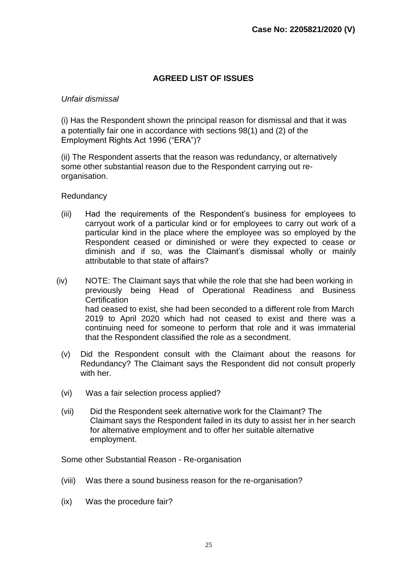# **AGREED LIST OF ISSUES**

#### *Unfair dismissal*

(i) Has the Respondent shown the principal reason for dismissal and that it was a potentially fair one in accordance with sections 98(1) and (2) of the Employment Rights Act 1996 ("ERA")?

(ii) The Respondent asserts that the reason was redundancy, or alternatively some other substantial reason due to the Respondent carrying out reorganisation.

**Redundancy** 

- (iii) Had the requirements of the Respondent's business for employees to carryout work of a particular kind or for employees to carry out work of a particular kind in the place where the employee was so employed by the Respondent ceased or diminished or were they expected to cease or diminish and if so, was the Claimant's dismissal wholly or mainly attributable to that state of affairs?
- (iv) NOTE: The Claimant says that while the role that she had been working in previously being Head of Operational Readiness and Business **Certification** had ceased to exist, she had been seconded to a different role from March 2019 to April 2020 which had not ceased to exist and there was a continuing need for someone to perform that role and it was immaterial that the Respondent classified the role as a secondment.
	- (v) Did the Respondent consult with the Claimant about the reasons for Redundancy? The Claimant says the Respondent did not consult properly with her.
	- (vi) Was a fair selection process applied?
	- (vii) Did the Respondent seek alternative work for the Claimant? The Claimant says the Respondent failed in its duty to assist her in her search for alternative employment and to offer her suitable alternative employment.

Some other Substantial Reason - Re-organisation

- (viii) Was there a sound business reason for the re-organisation?
- (ix) Was the procedure fair?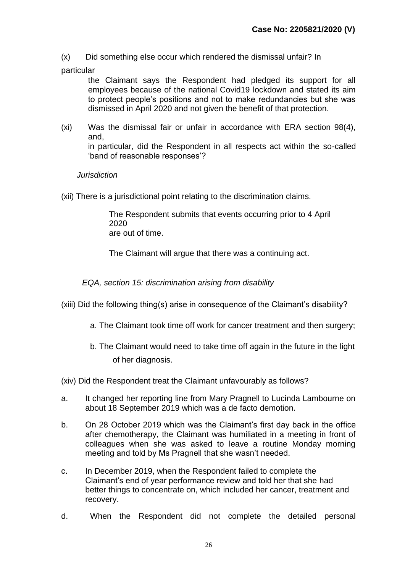- (x) Did something else occur which rendered the dismissal unfair? In
- particular

the Claimant says the Respondent had pledged its support for all employees because of the national Covid19 lockdown and stated its aim to protect people's positions and not to make redundancies but she was dismissed in April 2020 and not given the benefit of that protection.

(xi) Was the dismissal fair or unfair in accordance with ERA section 98(4), and, in particular, did the Respondent in all respects act within the so-called 'band of reasonable responses'?

# *Jurisdiction*

(xii) There is a jurisdictional point relating to the discrimination claims.

The Respondent submits that events occurring prior to 4 April 2020 are out of time.

The Claimant will argue that there was a continuing act.

*EQA, section 15: discrimination arising from disability* 

- (xiii) Did the following thing(s) arise in consequence of the Claimant's disability?
	- a. The Claimant took time off work for cancer treatment and then surgery;
	- b. The Claimant would need to take time off again in the future in the light of her diagnosis.

(xiv) Did the Respondent treat the Claimant unfavourably as follows?

- a. It changed her reporting line from Mary Pragnell to Lucinda Lambourne on about 18 September 2019 which was a de facto demotion.
- b. On 28 October 2019 which was the Claimant's first day back in the office after chemotherapy, the Claimant was humiliated in a meeting in front of colleagues when she was asked to leave a routine Monday morning meeting and told by Ms Pragnell that she wasn't needed.
- c. In December 2019, when the Respondent failed to complete the Claimant's end of year performance review and told her that she had better things to concentrate on, which included her cancer, treatment and recovery.
- d. When the Respondent did not complete the detailed personal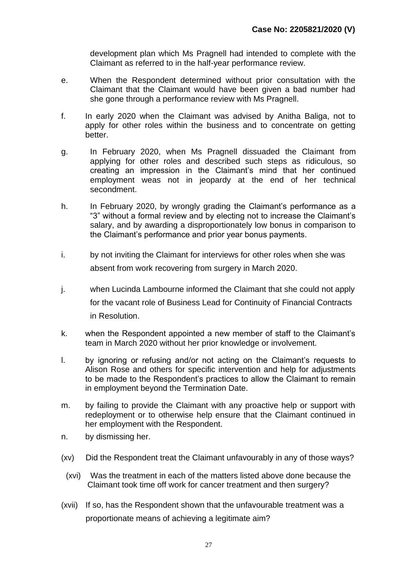development plan which Ms Pragnell had intended to complete with the Claimant as referred to in the half-year performance review.

- e. When the Respondent determined without prior consultation with the Claimant that the Claimant would have been given a bad number had she gone through a performance review with Ms Pragnell.
- f. In early 2020 when the Claimant was advised by Anitha Baliga, not to apply for other roles within the business and to concentrate on getting better.
- g. In February 2020, when Ms Pragnell dissuaded the Claimant from applying for other roles and described such steps as ridiculous, so creating an impression in the Claimant's mind that her continued employment weas not in jeopardy at the end of her technical secondment.
- h. In February 2020, by wrongly grading the Claimant's performance as a "3" without a formal review and by electing not to increase the Claimant's salary, and by awarding a disproportionately low bonus in comparison to the Claimant's performance and prior year bonus payments.
- i. by not inviting the Claimant for interviews for other roles when she was absent from work recovering from surgery in March 2020.
- j. when Lucinda Lambourne informed the Claimant that she could not apply for the vacant role of Business Lead for Continuity of Financial Contracts in Resolution.
- k. when the Respondent appointed a new member of staff to the Claimant's team in March 2020 without her prior knowledge or involvement.
- l. by ignoring or refusing and/or not acting on the Claimant's requests to Alison Rose and others for specific intervention and help for adjustments to be made to the Respondent's practices to allow the Claimant to remain in employment beyond the Termination Date.
- m. by failing to provide the Claimant with any proactive help or support with redeployment or to otherwise help ensure that the Claimant continued in her employment with the Respondent.
- n. by dismissing her.
- (xv) Did the Respondent treat the Claimant unfavourably in any of those ways?
- (xvi) Was the treatment in each of the matters listed above done because the Claimant took time off work for cancer treatment and then surgery?
- (xvii) If so, has the Respondent shown that the unfavourable treatment was a proportionate means of achieving a legitimate aim?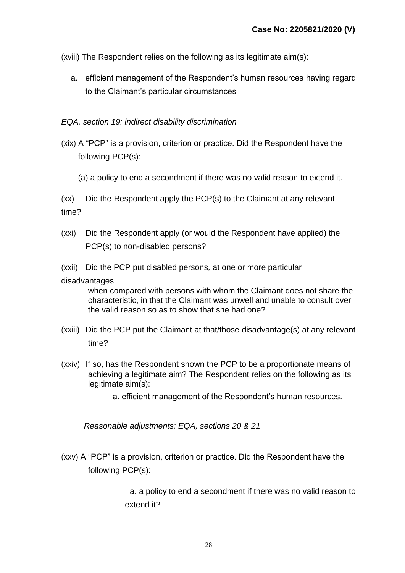(xviii) The Respondent relies on the following as its legitimate aim(s):

a. efficient management of the Respondent's human resources having regard to the Claimant's particular circumstances

# *EQA, section 19: indirect disability discrimination*

- (xix) A "PCP" is a provision, criterion or practice. Did the Respondent have the following PCP(s):
	- (a) a policy to end a secondment if there was no valid reason to extend it.

(xx) Did the Respondent apply the PCP(s) to the Claimant at any relevant time?

- (xxi) Did the Respondent apply (or would the Respondent have applied) the PCP(s) to non-disabled persons?
- (xxii) Did the PCP put disabled persons*,* at one or more particular

#### disadvantages

when compared with persons with whom the Claimant does not share the characteristic, in that the Claimant was unwell and unable to consult over the valid reason so as to show that she had one?

- (xxiii) Did the PCP put the Claimant at that/those disadvantage(s) at any relevant time?
- (xxiv) If so, has the Respondent shown the PCP to be a proportionate means of achieving a legitimate aim? The Respondent relies on the following as its legitimate aim(s):
	- a. efficient management of the Respondent's human resources.

*Reasonable adjustments: EQA, sections 20 & 21* 

(xxv) A "PCP" is a provision, criterion or practice. Did the Respondent have the following PCP(s):

> a. a policy to end a secondment if there was no valid reason to extend it?